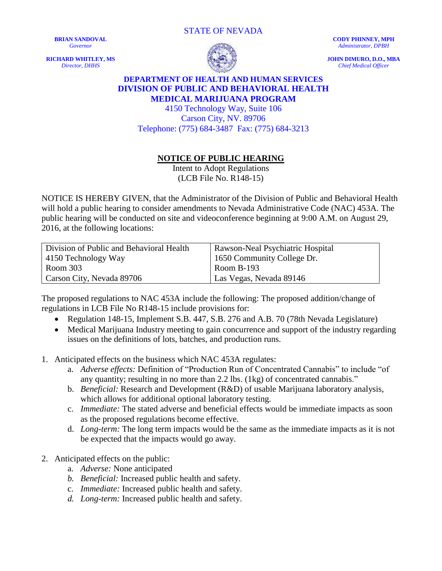STATE OF NEVADA

**BRIAN SANDOVAL** *Governor*

**RICHARD WHITLEY, MS** *Director, DHHS*



**CODY PHINNEY, MPH** *Administrator, DPBH*

**JOHN DIMURO, D.O., MBA** *Chief Medical Officer*

## **DEPARTMENT OF HEALTH AND HUMAN SERVICES DIVISION OF PUBLIC AND BEHAVIORAL HEALTH MEDICAL MARIJUANA PROGRAM**

4150 Technology Way, Suite 106 Carson City, NV. 89706 Telephone: (775) 684-3487 Fax: (775) 684-3213

## **NOTICE OF PUBLIC HEARING**

Intent to Adopt Regulations (LCB File No. R148-15)

NOTICE IS HEREBY GIVEN, that the Administrator of the Division of Public and Behavioral Health will hold a public hearing to consider amendments to Nevada Administrative Code (NAC) 453A. The public hearing will be conducted on site and videoconference beginning at 9:00 A.M. on August 29, 2016, at the following locations:

| Division of Public and Behavioral Health | Rawson-Neal Psychiatric Hospital |
|------------------------------------------|----------------------------------|
| $\vert$ 4150 Technology Way              | 1650 Community College Dr.       |
| Room 303                                 | <b>Room B-193</b>                |
| Carson City, Nevada 89706                | Las Vegas, Nevada 89146          |

The proposed regulations to NAC 453A include the following: The proposed addition/change of regulations in LCB File No R148-15 include provisions for:

- Regulation 148-15, Implement S.B. 447, S.B. 276 and A.B. 70 (78th Nevada Legislature)
- Medical Marijuana Industry meeting to gain concurrence and support of the industry regarding issues on the definitions of lots, batches, and production runs.
- 1. Anticipated effects on the business which NAC 453A regulates:
	- a. *Adverse effects:* Definition of "Production Run of Concentrated Cannabis" to include "of any quantity; resulting in no more than 2.2 lbs. (1kg) of concentrated cannabis."
	- b. *Beneficial:* Research and Development (R&D) of usable Marijuana laboratory analysis, which allows for additional optional laboratory testing.
	- c. *Immediate:* The stated adverse and beneficial effects would be immediate impacts as soon as the proposed regulations become effective.
	- d. *Long-term:* The long term impacts would be the same as the immediate impacts as it is not be expected that the impacts would go away.
- 2. Anticipated effects on the public:
	- a. *Adverse:* None anticipated
	- *b. Beneficial:* Increased public health and safety.
	- c. *Immediate:* Increased public health and safety.
	- *d. Long-term:* Increased public health and safety.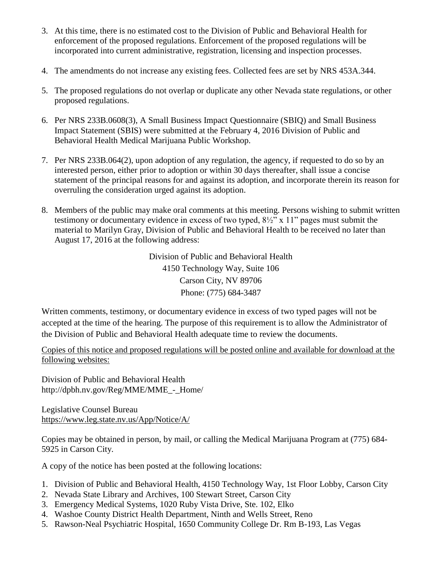- 3. At this time, there is no estimated cost to the Division of Public and Behavioral Health for enforcement of the proposed regulations. Enforcement of the proposed regulations will be incorporated into current administrative, registration, licensing and inspection processes.
- 4. The amendments do not increase any existing fees. Collected fees are set by NRS 453A.344.
- 5. The proposed regulations do not overlap or duplicate any other Nevada state regulations, or other proposed regulations.
- 6. Per NRS 233B.0608(3), A Small Business Impact Questionnaire (SBIQ) and Small Business Impact Statement (SBIS) were submitted at the February 4, 2016 Division of Public and Behavioral Health Medical Marijuana Public Workshop.
- 7. Per NRS 233B.064(2), upon adoption of any regulation, the agency, if requested to do so by an interested person, either prior to adoption or within 30 days thereafter, shall issue a concise statement of the principal reasons for and against its adoption, and incorporate therein its reason for overruling the consideration urged against its adoption.
- 8. Members of the public may make oral comments at this meeting. Persons wishing to submit written testimony or documentary evidence in excess of two typed, 8½" x 11" pages must submit the material to Marilyn Gray, Division of Public and Behavioral Health to be received no later than August 17, 2016 at the following address:

Division of Public and Behavioral Health 4150 Technology Way, Suite 106 Carson City, NV 89706 Phone: (775) 684-3487

Written comments, testimony, or documentary evidence in excess of two typed pages will not be accepted at the time of the hearing. The purpose of this requirement is to allow the Administrator of the Division of Public and Behavioral Health adequate time to review the documents.

Copies of this notice and proposed regulations will be posted online and available for download at the following websites:

Division of Public and Behavioral Health http://dpbh.nv.gov/Reg/MME/MME - Home/

Legislative Counsel Bureau <https://www.leg.state.nv.us/App/Notice/A/>

Copies may be obtained in person, by mail, or calling the Medical Marijuana Program at (775) 684- 5925 in Carson City.

A copy of the notice has been posted at the following locations:

- 1. Division of Public and Behavioral Health, 4150 Technology Way, 1st Floor Lobby, Carson City
- 2. Nevada State Library and Archives, 100 Stewart Street, Carson City
- 3. Emergency Medical Systems, 1020 Ruby Vista Drive, Ste. 102, Elko
- 4. Washoe County District Health Department, Ninth and Wells Street, Reno
- 5. Rawson-Neal Psychiatric Hospital, 1650 Community College Dr. Rm B-193, Las Vegas